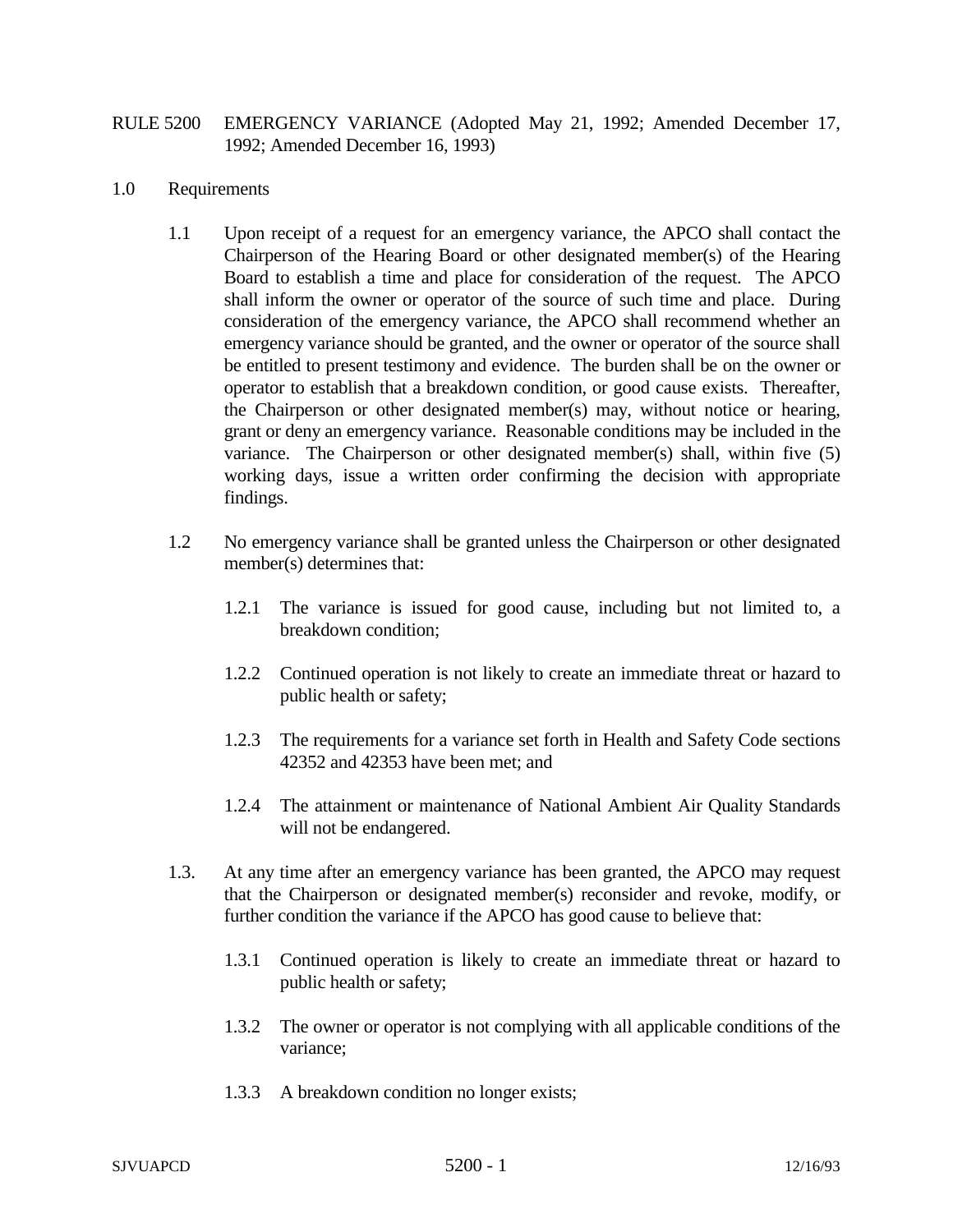## RULE 5200 EMERGENCY VARIANCE (Adopted May 21, 1992; Amended December 17, 1992; Amended December 16, 1993)

## 1.0 Requirements

- 1.1 Upon receipt of a request for an emergency variance, the APCO shall contact the Chairperson of the Hearing Board or other designated member(s) of the Hearing Board to establish a time and place for consideration of the request. The APCO shall inform the owner or operator of the source of such time and place. During consideration of the emergency variance, the APCO shall recommend whether an emergency variance should be granted, and the owner or operator of the source shall be entitled to present testimony and evidence. The burden shall be on the owner or operator to establish that a breakdown condition, or good cause exists. Thereafter, the Chairperson or other designated member(s) may, without notice or hearing, grant or deny an emergency variance. Reasonable conditions may be included in the variance. The Chairperson or other designated member(s) shall, within five (5) working days, issue a written order confirming the decision with appropriate findings.
- 1.2 No emergency variance shall be granted unless the Chairperson or other designated member(s) determines that:
	- 1.2.1 The variance is issued for good cause, including but not limited to, a breakdown condition;
	- 1.2.2 Continued operation is not likely to create an immediate threat or hazard to public health or safety;
	- 1.2.3 The requirements for a variance set forth in Health and Safety Code sections 42352 and 42353 have been met; and
	- 1.2.4 The attainment or maintenance of National Ambient Air Quality Standards will not be endangered.
- 1.3. At any time after an emergency variance has been granted, the APCO may request that the Chairperson or designated member(s) reconsider and revoke, modify, or further condition the variance if the APCO has good cause to believe that:
	- 1.3.1 Continued operation is likely to create an immediate threat or hazard to public health or safety;
	- 1.3.2 The owner or operator is not complying with all applicable conditions of the variance;
	- 1.3.3 A breakdown condition no longer exists;